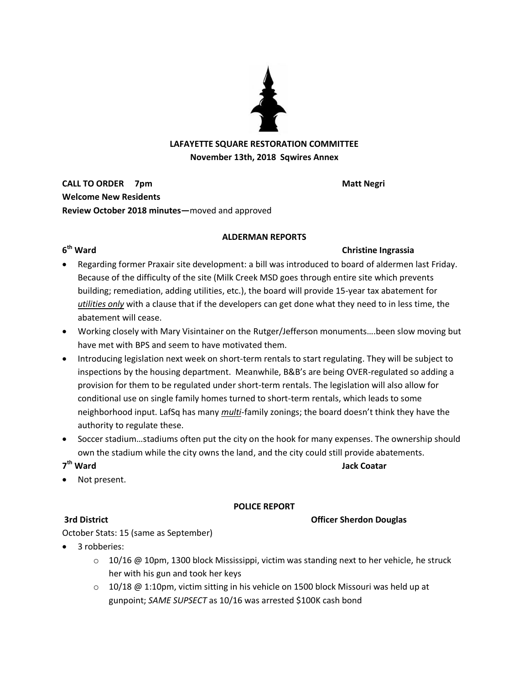

## **LAFAYETTE SQUARE RESTORATION COMMITTEE November 13th, 2018 Sqwires Annex**

**CALL TO ORDER** 7pm **Welcome New Residents Review October 2018 minutes—**moved and approved

## **ALDERMAN REPORTS**

## 6<sup>th</sup> Ward

## **Christine Ingrassia**

- Regarding former Praxair site development: a bill was introduced to board of aldermen last Friday. Because of the difficulty of the site (Milk Creek MSD goes through entire site which prevents building; remediation, adding utilities, etc.), the board will provide 15-year tax abatement for *utilities only* with a clause that if the developers can get done what they need to in less time, the abatement will cease.
- Working closely with Mary Visintainer on the Rutger/Jefferson monuments….been slow moving but have met with BPS and seem to have motivated them.
- Introducing legislation next week on short-term rentals to start regulating. They will be subject to inspections by the housing department. Meanwhile, B&B's are being OVER-regulated so adding a provision for them to be regulated under short-term rentals. The legislation will also allow for conditional use on single family homes turned to short-term rentals, which leads to some neighborhood input. LafSq has many *multi*-family zonings; the board doesn't think they have the authority to regulate these.
- Soccer stadium…stadiums often put the city on the hook for many expenses. The ownership should own the stadium while the city owns the land, and the city could still provide abatements.

### 7<sup>th</sup> Ward **th Ward Jack Coatar**

Not present.

## **POLICE REPORT**

## **3rd District Community Community Community Community Community Community Community Community Community Community Community Community Community Community Community Community Community Community Community Community Communit**

October Stats: 15 (same as September)

- 3 robberies:
	- $\circ$  10/16 @ 10pm, 1300 block Mississippi, victim was standing next to her vehicle, he struck her with his gun and took her keys
	- $\circ$  10/18 @ 1:10pm, victim sitting in his vehicle on 1500 block Missouri was held up at gunpoint; *SAME SUPSECT* as 10/16 was arrested \$100K cash bond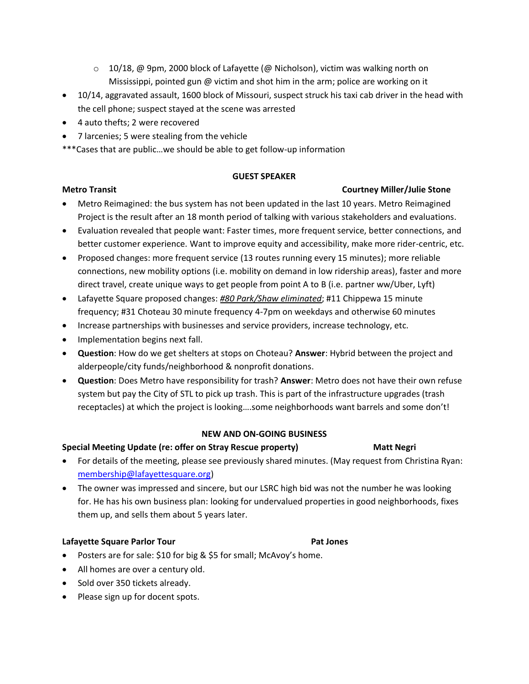- $\circ$  10/18, @ 9pm, 2000 block of Lafayette (@ Nicholson), victim was walking north on Mississippi, pointed gun @ victim and shot him in the arm; police are working on it
- 10/14, aggravated assault, 1600 block of Missouri, suspect struck his taxi cab driver in the head with the cell phone; suspect stayed at the scene was arrested
- 4 auto thefts; 2 were recovered
- 7 larcenies; 5 were stealing from the vehicle
- \*\*\*Cases that are public…we should be able to get follow-up information

### **GUEST SPEAKER**

## **Metro Transit Courtney Miller/Julie Stone**

- Metro Reimagined: the bus system has not been updated in the last 10 years. Metro Reimagined Project is the result after an 18 month period of talking with various stakeholders and evaluations.
- Evaluation revealed that people want: Faster times, more frequent service, better connections, and better customer experience. Want to improve equity and accessibility, make more rider-centric, etc.
- Proposed changes: more frequent service (13 routes running every 15 minutes); more reliable connections, new mobility options (i.e. mobility on demand in low ridership areas), faster and more direct travel, create unique ways to get people from point A to B (i.e. partner ww/Uber, Lyft)
- Lafayette Square proposed changes: *#80 Park/Shaw eliminated*; #11 Chippewa 15 minute frequency; #31 Choteau 30 minute frequency 4-7pm on weekdays and otherwise 60 minutes
- Increase partnerships with businesses and service providers, increase technology, etc.
- Implementation begins next fall.
- **Question**: How do we get shelters at stops on Choteau? **Answer**: Hybrid between the project and alderpeople/city funds/neighborhood & nonprofit donations.
- **Question**: Does Metro have responsibility for trash? **Answer**: Metro does not have their own refuse system but pay the City of STL to pick up trash. This is part of the infrastructure upgrades (trash receptacles) at which the project is looking….some neighborhoods want barrels and some don't!

## **NEW AND ON-GOING BUSINESS**

## **Special Meeting Update (re: offer on Stray Rescue property) Matt Negri**

- For details of the meeting, please see previously shared minutes. (May request from Christina Ryan: [membership@lafayettesquare.org\)](mailto:membership@lafayettesquare.org)
- The owner was impressed and sincere, but our LSRC high bid was not the number he was looking for. He has his own business plan: looking for undervalued properties in good neighborhoods, fixes them up, and sells them about 5 years later.

## **Lafayette Square Parlor Tour Pat Jones**

- Posters are for sale: \$10 for big & \$5 for small; McAvoy's home.
- All homes are over a century old.
- Sold over 350 tickets already.
- Please sign up for docent spots.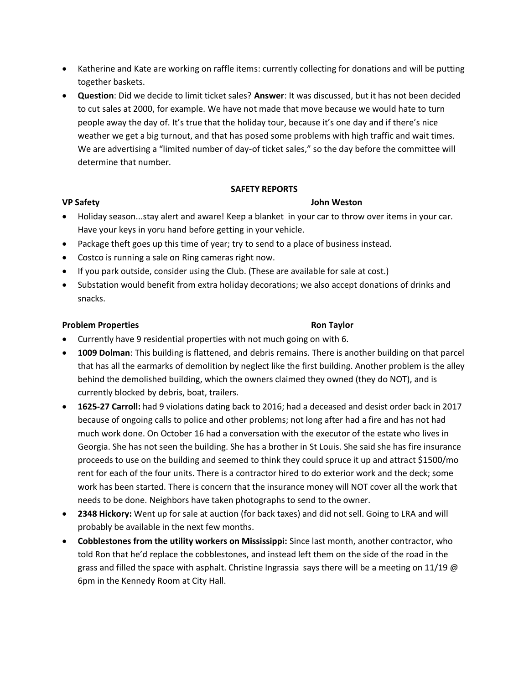- Katherine and Kate are working on raffle items: currently collecting for donations and will be putting together baskets.
- **Question**: Did we decide to limit ticket sales? **Answer**: It was discussed, but it has not been decided to cut sales at 2000, for example. We have not made that move because we would hate to turn people away the day of. It's true that the holiday tour, because it's one day and if there's nice weather we get a big turnout, and that has posed some problems with high traffic and wait times. We are advertising a "limited number of day-of ticket sales," so the day before the committee will determine that number.

### **SAFETY REPORTS**

### **VP Safety John Weston**

- Holiday season...stay alert and aware! Keep a blanket in your car to throw over items in your car. Have your keys in yoru hand before getting in your vehicle.
- Package theft goes up this time of year; try to send to a place of business instead.
- Costco is running a sale on Ring cameras right now.
- If you park outside, consider using the Club. (These are available for sale at cost.)
- Substation would benefit from extra holiday decorations; we also accept donations of drinks and snacks.

### **Problem Properties According to According Problem Properties**

- Currently have 9 residential properties with not much going on with 6.
- **1009 Dolman**: This building is flattened, and debris remains. There is another building on that parcel that has all the earmarks of demolition by neglect like the first building. Another problem is the alley behind the demolished building, which the owners claimed they owned (they do NOT), and is currently blocked by debris, boat, trailers.
- **1625-27 Carroll:** had 9 violations dating back to 2016; had a deceased and desist order back in 2017 because of ongoing calls to police and other problems; not long after had a fire and has not had much work done. On October 16 had a conversation with the executor of the estate who lives in Georgia. She has not seen the building. She has a brother in St Louis. She said she has fire insurance proceeds to use on the building and seemed to think they could spruce it up and attract \$1500/mo rent for each of the four units. There is a contractor hired to do exterior work and the deck; some work has been started. There is concern that the insurance money will NOT cover all the work that needs to be done. Neighbors have taken photographs to send to the owner.
- **2348 Hickory:** Went up for sale at auction (for back taxes) and did not sell. Going to LRA and will probably be available in the next few months.
- **Cobblestones from the utility workers on Mississippi:** Since last month, another contractor, who told Ron that he'd replace the cobblestones, and instead left them on the side of the road in the grass and filled the space with asphalt. Christine Ingrassia says there will be a meeting on 11/19  $\omega$ 6pm in the Kennedy Room at City Hall.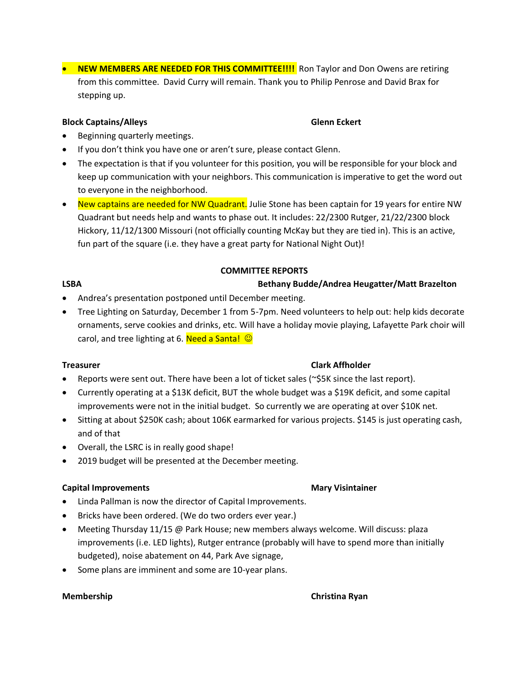**• NEW MEMBERS ARE NEEDED FOR THIS COMMITTEE!!!!** Ron Taylor and Don Owens are retiring from this committee. David Curry will remain. Thank you to Philip Penrose and David Brax for stepping up.

## **Block Captains/Alleys** Glenn Eckert

- Beginning quarterly meetings.
- If you don't think you have one or aren't sure, please contact Glenn.
- The expectation is that if you volunteer for this position, you will be responsible for your block and keep up communication with your neighbors. This communication is imperative to get the word out to everyone in the neighborhood.
- New captains are needed for NW Quadrant. Julie Stone has been captain for 19 years for entire NW Quadrant but needs help and wants to phase out. It includes: 22/2300 Rutger, 21/22/2300 block Hickory, 11/12/1300 Missouri (not officially counting McKay but they are tied in). This is an active, fun part of the square (i.e. they have a great party for National Night Out)!

# **COMMITTEE REPORTS**

## **LSBA Bethany Budde/Andrea Heugatter/Matt Brazelton**

- Andrea's presentation postponed until December meeting.
- Tree Lighting on Saturday, December 1 from 5-7pm. Need volunteers to help out: help kids decorate ornaments, serve cookies and drinks, etc. Will have a holiday movie playing, Lafayette Park choir will carol, and tree lighting at 6. Need a Santa!  $\odot$

- Reports were sent out. There have been a lot of ticket sales (~\$5K since the last report).
- Currently operating at a \$13K deficit, BUT the whole budget was a \$19K deficit, and some capital improvements were not in the initial budget. So currently we are operating at over \$10K net.
- Sitting at about \$250K cash; about 106K earmarked for various projects. \$145 is just operating cash, and of that
- Overall, the LSRC is in really good shape!
- 2019 budget will be presented at the December meeting.

### **Capital Improvements Community Community Community Capital Improvements** Mary Visintainer

- Linda Pallman is now the director of Capital Improvements.
- Bricks have been ordered. (We do two orders ever year.)
- Meeting Thursday 11/15 @ Park House; new members always welcome. Will discuss: plaza improvements (i.e. LED lights), Rutger entrance (probably will have to spend more than initially budgeted), noise abatement on 44, Park Ave signage,
- Some plans are imminent and some are 10-year plans.

## **Treasurer Clark Affholder**

### **Membership Christian Ryan**